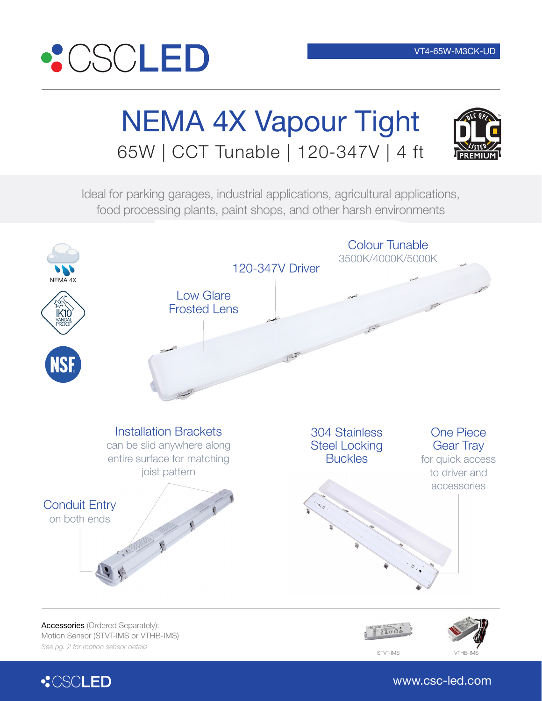

# NEMA 4X Vapour Tight 65W | CCT Tunable | 120-347V | 4 ft



Ideal for parking garages, industrial applications, agricultural applications, food processing plants, paint shops, and other harsh environments





www.csc-led.com